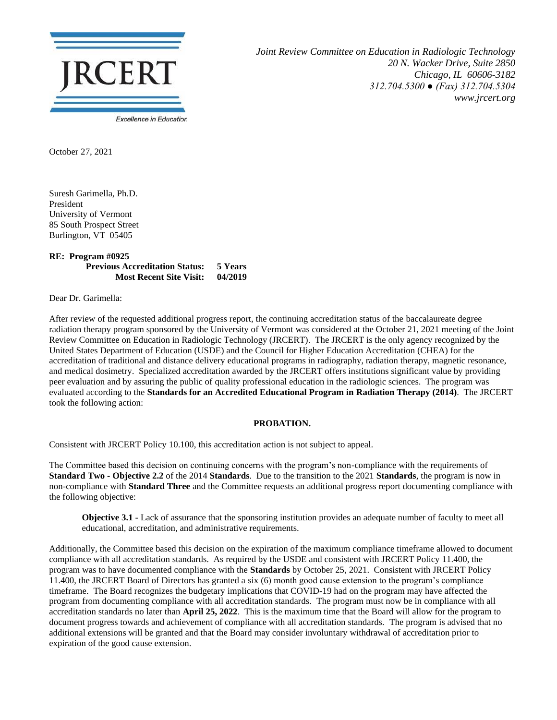

*Joint Review Committee on Education in Radiologic Technology 20 N. Wacker Drive, Suite 2850 Chicago, IL 60606-3182 312.704.5300 ● (Fax) 312.704.5304 www.jrcert.org*

October 27, 2021

Suresh Garimella, Ph.D. President University of Vermont 85 South Prospect Street Burlington, VT 05405

## **RE: Program #0925 Previous Accreditation Status: 5 Years Most Recent Site Visit: 04/2019**

Dear Dr. Garimella:

After review of the requested additional progress report, the continuing accreditation status of the baccalaureate degree radiation therapy program sponsored by the University of Vermont was considered at the October 21, 2021 meeting of the Joint Review Committee on Education in Radiologic Technology (JRCERT). The JRCERT is the only agency recognized by the United States Department of Education (USDE) and the Council for Higher Education Accreditation (CHEA) for the accreditation of traditional and distance delivery educational programs in radiography, radiation therapy, magnetic resonance, and medical dosimetry. Specialized accreditation awarded by the JRCERT offers institutions significant value by providing peer evaluation and by assuring the public of quality professional education in the radiologic sciences. The program was evaluated according to the **Standards for an Accredited Educational Program in Radiation Therapy (2014)**. The JRCERT took the following action:

## **PROBATION.**

Consistent with JRCERT Policy 10.100, this accreditation action is not subject to appeal.

The Committee based this decision on continuing concerns with the program's non-compliance with the requirements of **Standard Two - Objective 2.2** of the 2014 **Standards**. Due to the transition to the 2021 **Standards**, the program is now in non-compliance with **Standard Three** and the Committee requests an additional progress report documenting compliance with the following objective:

**Objective 3.1 -** Lack of assurance that the sponsoring institution provides an adequate number of faculty to meet all educational, accreditation, and administrative requirements.

Additionally, the Committee based this decision on the expiration of the maximum compliance timeframe allowed to document compliance with all accreditation standards. As required by the USDE and consistent with JRCERT Policy 11.400, the program was to have documented compliance with the **Standards** by October 25, 2021. Consistent with JRCERT Policy 11.400, the JRCERT Board of Directors has granted a six (6) month good cause extension to the program's compliance timeframe. The Board recognizes the budgetary implications that COVID-19 had on the program may have affected the program from documenting compliance with all accreditation standards. The program must now be in compliance with all accreditation standards no later than **April 25, 2022**. This is the maximum time that the Board will allow for the program to document progress towards and achievement of compliance with all accreditation standards. The program is advised that no additional extensions will be granted and that the Board may consider involuntary withdrawal of accreditation prior to expiration of the good cause extension.